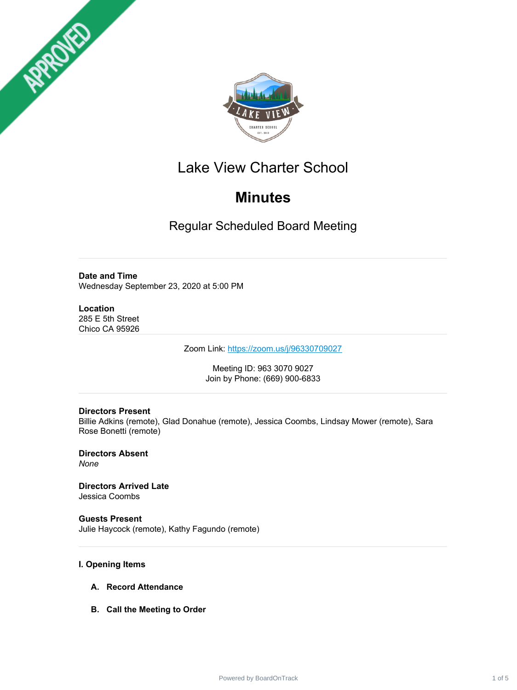



# Lake View Charter School

# **Minutes**

Regular Scheduled Board Meeting

# **Date and Time**

Wednesday September 23, 2020 at 5:00 PM

## **Location**

285 E 5th Street Chico CA 95926

Zoom Link: <https://zoom.us/j/96330709027>

Meeting ID: 963 3070 9027 Join by Phone: (669) 900-6833

# **Directors Present**

Billie Adkins (remote), Glad Donahue (remote), Jessica Coombs, Lindsay Mower (remote), Sara Rose Bonetti (remote)

**Directors Absent** *None*

**Directors Arrived Late** Jessica Coombs

**Guests Present** Julie Haycock (remote), Kathy Fagundo (remote)

# **I. Opening Items**

- **A. Record Attendance**
- **B. Call the Meeting to Order**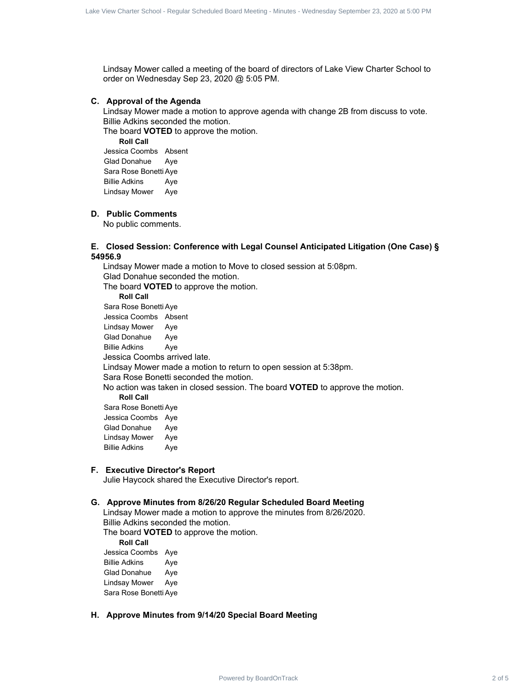Lindsay Mower called a meeting of the board of directors of Lake View Charter School to order on Wednesday Sep 23, 2020 @ 5:05 PM.

#### **C. Approval of the Agenda**

Lindsay Mower made a motion to approve agenda with change 2B from discuss to vote. Billie Adkins seconded the motion.

The board **VOTED** to approve the motion.

**Roll Call** Jessica Coombs Absent Glad Donahue Aye Sara Rose Bonetti Aye Billie Adkins Aye Lindsay Mower Aye

#### **D. Public Comments**

No public comments.

## **E. Closed Session: Conference with Legal Counsel Anticipated Litigation (One Case) § 54956.9**

Lindsay Mower made a motion to Move to closed session at 5:08pm. Glad Donahue seconded the motion. The board **VOTED** to approve the motion. **Roll Call** Sara Rose Bonetti Aye Jessica Coombs Absent Lindsay Mower Aye Glad Donahue Aye Billie Adkins Aye Jessica Coombs arrived late. Lindsay Mower made a motion to return to open session at 5:38pm. Sara Rose Bonetti seconded the motion. No action was taken in closed session. The board **VOTED** to approve the motion. **Roll Call** Sara Rose Bonetti Aye Jessica Coombs Aye Glad Donahue Aye Lindsay Mower Aye Billie Adkins Aye since Contract 2 of 5 Lake View Charter School - Regular Scheduled Board Meeting - Minutes - Wednesday September 2 of 5 Raymouri Charter School - Regular Scheduled Board Meeting - Minutes - Wednesday September 23, 2020 at

## **F. Executive Director's Report**

Julie Haycock shared the Executive Director's report.

## **G. Approve Minutes from 8/26/20 Regular Scheduled Board Meeting**

Lindsay Mower made a motion to approve the minutes from 8/26/2020. Billie Adkins seconded the motion.

The board **VOTED** to approve the motion.

**Roll Call**

Jessica Coombs Aye Billie Adkins Aye Glad Donahue Aye Lindsay Mower Aye Sara Rose Bonetti Aye

#### **H. Approve Minutes from 9/14/20 Special Board Meeting**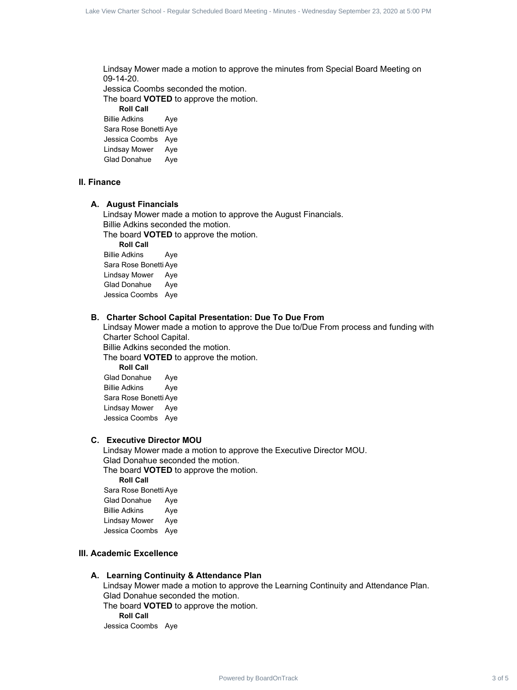Lindsay Mower made a motion to approve the minutes from Special Board Meeting on 09-14-20. Jessica Coombs seconded the motion. The board **VOTED** to approve the motion. **Roll Call** Billie Adkins Aye Sara Rose Bonetti Aye Jessica Coombs Aye she was the state interest and the state interest 3 of 5 Lake View Charter School - Regular School - Regular Schedule Schedule School - Regular School - Regular Schedule Schedule Scheduled Board Meeting on the state of so

Lindsay Mower Aye Glad Donahue Aye

#### **II. Finance**

#### **A. August Financials**

Lindsay Mower made a motion to approve the August Financials. Billie Adkins seconded the motion.

The board **VOTED** to approve the motion.

**Roll Call**

Billie Adkins Aye Sara Rose Bonetti Aye Lindsay Mower Aye Glad Donahue Aye Jessica Coombs Aye

#### **B. Charter School Capital Presentation: Due To Due From**

Lindsay Mower made a motion to approve the Due to/Due From process and funding with Charter School Capital.

Billie Adkins seconded the motion.

The board **VOTED** to approve the motion.

**Roll Call** Glad Donahue Aye Billie Adkins Aye Sara Rose Bonetti Aye Lindsay Mower Aye Jessica Coombs Aye

#### **C. Executive Director MOU**

Lindsay Mower made a motion to approve the Executive Director MOU. Glad Donahue seconded the motion. The board **VOTED** to approve the motion. **Roll Call** Sara Rose Bonetti Aye Glad Donahue Aye Billie Adkins Aye

Lindsay Mower Aye Jessica Coombs Aye

#### **III. Academic Excellence**

#### **A. Learning Continuity & Attendance Plan**

Lindsay Mower made a motion to approve the Learning Continuity and Attendance Plan. Glad Donahue seconded the motion. The board **VOTED** to approve the motion. **Roll Call** Jessica Coombs Aye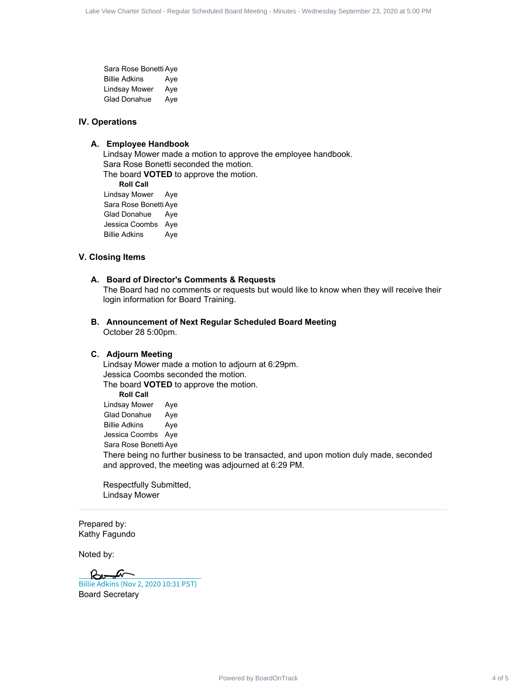Sara Rose Bonetti Aye Billie Adkins Aye Lindsay Mower Aye Glad Donahue Aye

#### **IV. Operations**

#### **A. Employee Handbook**

Lindsay Mower made a motion to approve the employee handbook. Sara Rose Bonetti seconded the motion. The board **VOTED** to approve the motion. **Roll Call** Lindsay Mower Aye Sara Rose Bonetti Aye Glad Donahue Aye Jessica Coombs Aye Billie Adkins Aye

#### **V. Closing Items**

#### **A. Board of Director's Comments & Requests**

The Board had no comments or requests but would like to know when they will receive their login information for Board Training.

#### **B. Announcement of Next Regular Scheduled Board Meeting** October 28 5:00pm.

#### **C. Adjourn Meeting**

Lindsay Mower made a motion to adjourn at 6:29pm. Jessica Coombs seconded the motion. The board **VOTED** to approve the motion. **Roll Call** Lindsay Mower Aye Glad Donahue Aye Billie Adkins Aye Jessica Coombs Aye Sara Rose Bonetti Aye There being no further business to be transacted, and upon motion duly made, seconded and approved, the meeting was adjourned at 6:29 PM. she was the signal of the signal of the signal of the signal of 5 Lake View Charter School - Regular School - Regular Scheduled Board Meeting - Minutes - Wednesday Scheduled Board Meeting - Wednesday September 23, 2020 De

Respectfully Submitted, Lindsay Mower

Prepared by: Kathy Fagundo

Noted by:

Board Secretary [Billie Adkins \(Nov 2, 2020 10:31 PST\)](https://na2.documents.adobe.com/verifier?tx=CBJCHBCAABAAXYyTFNa-MeA5jlipauDBYSCPJ3mLsylb)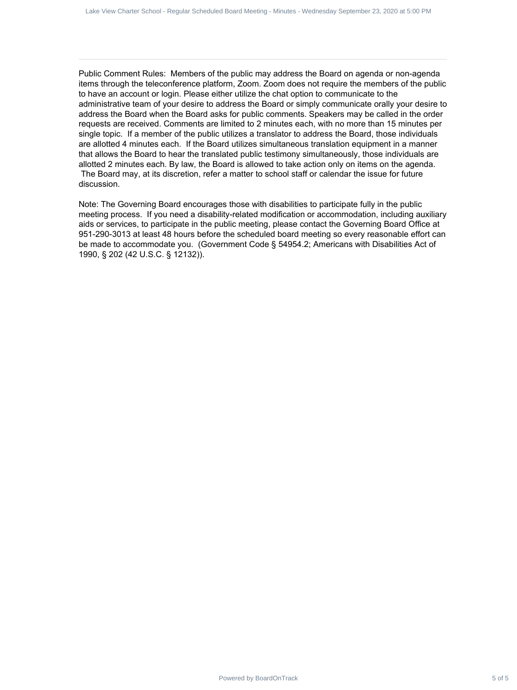Public Comment Rules: Members of the public may address the Board on agenda or non-agenda items through the teleconference platform, Zoom. Zoom does not require the members of the public to have an account or login. Please either utilize the chat option to communicate to the administrative team of your desire to address the Board or simply communicate orally your desire to address the Board when the Board asks for public comments. Speakers may be called in the order requests are received. Comments are limited to 2 minutes each, with no more than 15 minutes per single topic. If a member of the public utilizes a translator to address the Board, those individuals are allotted 4 minutes each. If the Board utilizes simultaneous translation equipment in a manner that allows the Board to hear the translated public testimony simultaneously, those individuals are allotted 2 minutes each. By law, the Board is allowed to take action only on items on the agenda. The Board may, at its discretion, refer a matter to school staff or calendar the issue for future discussion. she was the sign to the sign of 5 main sheet been as the sign of 5 and 0 sign of 5 California 23, 2020 at 5:00 PM in the sign of 5 Ray (a) and the sign of 5 Lake View Charter Schedule Board Meeting - Minutes of the public<br>

Note: The Governing Board encourages those with disabilities to participate fully in the public meeting process. If you need a disability-related modification or accommodation, including auxiliary aids or services, to participate in the public meeting, please contact the Governing Board Office at 951-290-3013 at least 48 hours before the scheduled board meeting so every reasonable effort can be made to accommodate you. (Government Code § 54954.2; Americans with Disabilities Act of 1990, § 202 (42 U.S.C. § 12132)).